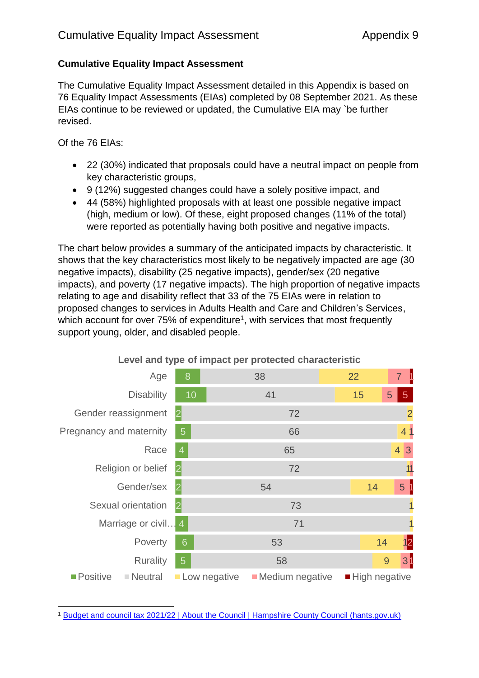## **Cumulative Equality Impact Assessment**

The Cumulative Equality Impact Assessment detailed in this Appendix is based on 76 Equality Impact Assessments (EIAs) completed by 08 September 2021. As these EIAs continue to be reviewed or updated, the Cumulative EIA may `be further revised.

Of the 76 EIAs:

- 22 (30%) indicated that proposals could have a neutral impact on people from key characteristic groups,
- 9 (12%) suggested changes could have a solely positive impact, and
- 44 (58%) highlighted proposals with at least one possible negative impact (high, medium or low). Of these, eight proposed changes (11% of the total) were reported as potentially having both positive and negative impacts.

The chart below provides a summary of the anticipated impacts by characteristic. It shows that the key characteristics most likely to be negatively impacted are age (30 negative impacts), disability (25 negative impacts), gender/sex (20 negative impacts), and poverty (17 negative impacts). The high proportion of negative impacts relating to age and disability reflect that 33 of the 75 EIAs were in relation to proposed changes to services in Adults Health and Care and Children's Services, which account for over  $75%$  of expenditure<sup>1</sup>, with services that most frequently support young, older, and disabled people.



### **Level and type of impact per protected characteristic**

**.** <sup>1</sup> [Budget and council tax 2021/22 | About the Council | Hampshire County Council \(hants.gov.uk\)](https://www.hants.gov.uk/aboutthecouncil/budgetspendingandperformance/budgetandcounciltax)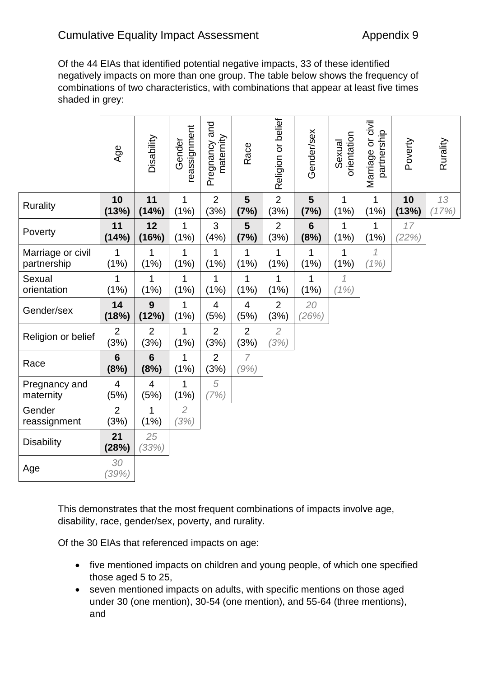Of the 44 EIAs that identified potential negative impacts, 33 of these identified negatively impacts on more than one group. The table below shows the frequency of combinations of two characteristics, with combinations that appear at least five times shaded in grey:

|                                  | Age                    | Disability              | reassignment<br>Gender | Pregnancy and<br>maternity | Race                   | Religion or belief     | Gender/sex             | orientation<br>Sexual  | Marriage or civil<br>partnership | Poverty     | Rurality    |
|----------------------------------|------------------------|-------------------------|------------------------|----------------------------|------------------------|------------------------|------------------------|------------------------|----------------------------------|-------------|-------------|
| <b>Rurality</b>                  | 10<br>(13%)            | 11<br>(14%)             | 1<br>(1%)              | $\overline{2}$<br>(3%)     | 5<br>(7%)              | $\overline{2}$<br>(3%) | 5<br>(7%)              | 1<br>(1%)              | 1<br>(1%)                        | 10<br>(13%) | 13<br>(17%) |
| Poverty                          | 11<br>(14%)            | 12<br>(16%)             | 1<br>(1%)              | 3<br>(4% )                 | 5<br>(7%)              | $\overline{2}$<br>(3%) | $6\phantom{1}$<br>(8%) | 1<br>(1%)              | 1<br>(1%)                        | 17<br>(22%) |             |
| Marriage or civil<br>partnership | 1<br>(1%)              | 1<br>(1%)               | 1<br>(1% )             | 1<br>(1% )                 | 1<br>(1%)              | 1<br>(1%)              | 1<br>(1%)              | 1<br>(1%)              | $\mathcal I$<br>(1%)             |             |             |
| Sexual<br>orientation            | 1<br>(1%)              | 1<br>(1%)               | 1<br>(1%)              | 1<br>(1%)                  | 1<br>(1%)              | 1<br>(1%)              | 1<br>(1% )             | $\mathcal{I}$<br>(1% ) |                                  |             |             |
| Gender/sex                       | 14<br>(18%)            | 9<br>(12%)              | 1<br>(1%)              | $\overline{4}$<br>(5%)     | $\overline{4}$<br>(5%) | $\overline{2}$<br>(3%) | 20<br>(26%)            |                        |                                  |             |             |
|                                  |                        |                         |                        |                            |                        |                        |                        |                        |                                  |             |             |
| Religion or belief               | $\overline{2}$<br>(3%) | $\overline{2}$<br>(3%)  | 1<br>(1%)              | $\overline{2}$<br>(3%)     | $\overline{2}$<br>(3%) | $\overline{2}$<br>(3%) |                        |                        |                                  |             |             |
| Race                             | $6\phantom{1}$<br>(8%) | $6\phantom{1}6$<br>(8%) | 1<br>(1%)              | $\overline{2}$<br>(3%)     | $\overline{7}$<br>(9%) |                        |                        |                        |                                  |             |             |
| Pregnancy and<br>maternity       | $\overline{4}$<br>(5%) | 4<br>(5%)               | 1<br>(1%)              | 5<br>(7%)                  |                        |                        |                        |                        |                                  |             |             |
| Gender<br>reassignment           | $\overline{2}$<br>(3%) | 1<br>(1%)               | $\overline{2}$<br>(3%) |                            |                        |                        |                        |                        |                                  |             |             |
| <b>Disability</b>                | 21<br>(28%)            | 25<br>(33%)             |                        |                            |                        |                        |                        |                        |                                  |             |             |

This demonstrates that the most frequent combinations of impacts involve age, disability, race, gender/sex, poverty, and rurality.

Of the 30 EIAs that referenced impacts on age:

- five mentioned impacts on children and young people, of which one specified those aged 5 to 25,
- seven mentioned impacts on adults, with specific mentions on those aged under 30 (one mention), 30-54 (one mention), and 55-64 (three mentions), and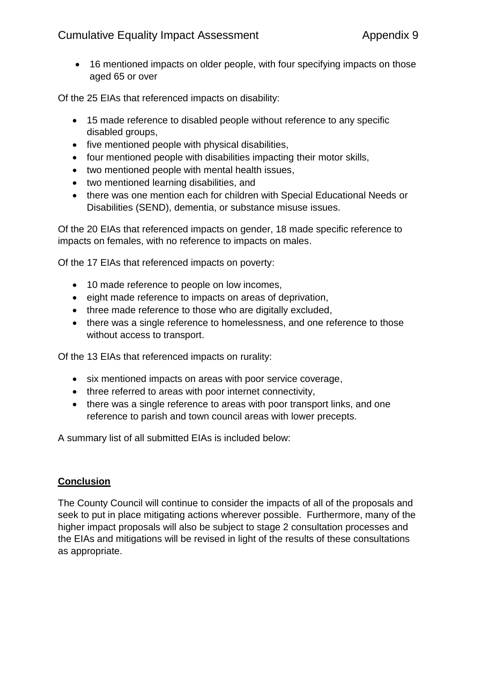## Cumulative Equality Impact Assessment **Appendix 9** Appendix 9

• 16 mentioned impacts on older people, with four specifying impacts on those aged 65 or over

Of the 25 EIAs that referenced impacts on disability:

- 15 made reference to disabled people without reference to any specific disabled groups,
- five mentioned people with physical disabilities,
- four mentioned people with disabilities impacting their motor skills,
- two mentioned people with mental health issues,
- two mentioned learning disabilities, and
- there was one mention each for children with Special Educational Needs or Disabilities (SEND), dementia, or substance misuse issues.

Of the 20 EIAs that referenced impacts on gender, 18 made specific reference to impacts on females, with no reference to impacts on males.

Of the 17 EIAs that referenced impacts on poverty:

- 10 made reference to people on low incomes,
- eight made reference to impacts on areas of deprivation,
- three made reference to those who are digitally excluded,
- there was a single reference to homelessness, and one reference to those without access to transport.

Of the 13 EIAs that referenced impacts on rurality:

- six mentioned impacts on areas with poor service coverage,
- three referred to areas with poor internet connectivity,
- there was a single reference to areas with poor transport links, and one reference to parish and town council areas with lower precepts.

A summary list of all submitted EIAs is included below:

### **Conclusion**

The County Council will continue to consider the impacts of all of the proposals and seek to put in place mitigating actions wherever possible. Furthermore, many of the higher impact proposals will also be subject to stage 2 consultation processes and the EIAs and mitigations will be revised in light of the results of these consultations as appropriate.